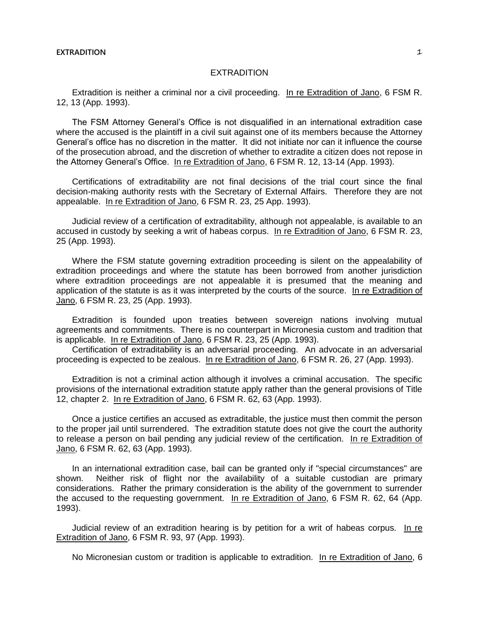## **EXTRADITION** 1

## **EXTRADITION**

Extradition is neither a criminal nor a civil proceeding. In re Extradition of Jano, 6 FSM R. 12, 13 (App. 1993).

The FSM Attorney General's Office is not disqualified in an international extradition case where the accused is the plaintiff in a civil suit against one of its members because the Attorney General's office has no discretion in the matter. It did not initiate nor can it influence the course of the prosecution abroad, and the discretion of whether to extradite a citizen does not repose in the Attorney General's Office. In re Extradition of Jano, 6 FSM R. 12, 13-14 (App. 1993).

Certifications of extraditability are not final decisions of the trial court since the final decision-making authority rests with the Secretary of External Affairs. Therefore they are not appealable. In re Extradition of Jano, 6 FSM R. 23, 25 App. 1993).

Judicial review of a certification of extraditability, although not appealable, is available to an accused in custody by seeking a writ of habeas corpus. In re Extradition of Jano, 6 FSM R. 23, 25 (App. 1993).

Where the FSM statute governing extradition proceeding is silent on the appealability of extradition proceedings and where the statute has been borrowed from another jurisdiction where extradition proceedings are not appealable it is presumed that the meaning and application of the statute is as it was interpreted by the courts of the source. In re Extradition of Jano, 6 FSM R. 23, 25 (App. 1993).

Extradition is founded upon treaties between sovereign nations involving mutual agreements and commitments. There is no counterpart in Micronesia custom and tradition that is applicable. In re Extradition of Jano, 6 FSM R. 23, 25 (App. 1993).

Certification of extraditability is an adversarial proceeding. An advocate in an adversarial proceeding is expected to be zealous. In re Extradition of Jano, 6 FSM R. 26, 27 (App. 1993).

Extradition is not a criminal action although it involves a criminal accusation. The specific provisions of the international extradition statute apply rather than the general provisions of Title 12, chapter 2. In re Extradition of Jano, 6 FSM R. 62, 63 (App. 1993).

Once a justice certifies an accused as extraditable, the justice must then commit the person to the proper jail until surrendered. The extradition statute does not give the court the authority to release a person on bail pending any judicial review of the certification. In re Extradition of Jano, 6 FSM R. 62, 63 (App. 1993).

In an international extradition case, bail can be granted only if "special circumstances" are shown. Neither risk of flight nor the availability of a suitable custodian are primary considerations. Rather the primary consideration is the ability of the government to surrender the accused to the requesting government. In re Extradition of Jano, 6 FSM R. 62, 64 (App. 1993).

Judicial review of an extradition hearing is by petition for a writ of habeas corpus. In re Extradition of Jano, 6 FSM R. 93, 97 (App. 1993).

No Micronesian custom or tradition is applicable to extradition. In re Extradition of Jano, 6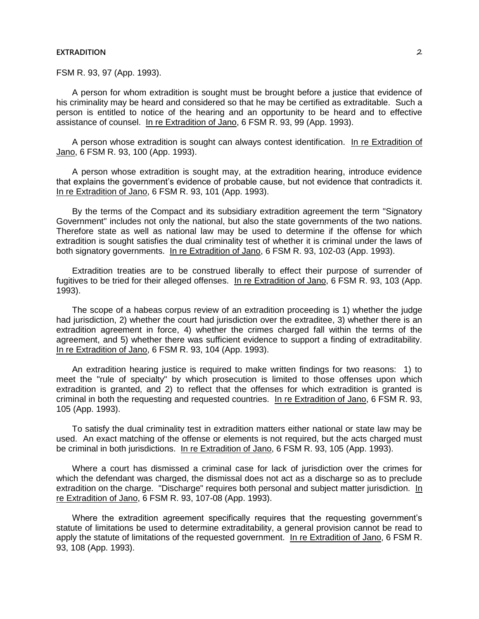## **EXTRADITION** 2

FSM R. 93, 97 (App. 1993).

A person for whom extradition is sought must be brought before a justice that evidence of his criminality may be heard and considered so that he may be certified as extraditable. Such a person is entitled to notice of the hearing and an opportunity to be heard and to effective assistance of counsel. In re Extradition of Jano, 6 FSM R. 93, 99 (App. 1993).

A person whose extradition is sought can always contest identification. In re Extradition of Jano, 6 FSM R. 93, 100 (App. 1993).

A person whose extradition is sought may, at the extradition hearing, introduce evidence that explains the government's evidence of probable cause, but not evidence that contradicts it. In re Extradition of Jano, 6 FSM R. 93, 101 (App. 1993).

By the terms of the Compact and its subsidiary extradition agreement the term "Signatory Government" includes not only the national, but also the state governments of the two nations. Therefore state as well as national law may be used to determine if the offense for which extradition is sought satisfies the dual criminality test of whether it is criminal under the laws of both signatory governments. In re Extradition of Jano, 6 FSM R. 93, 102-03 (App. 1993).

Extradition treaties are to be construed liberally to effect their purpose of surrender of fugitives to be tried for their alleged offenses. In re Extradition of Jano, 6 FSM R. 93, 103 (App. 1993).

The scope of a habeas corpus review of an extradition proceeding is 1) whether the judge had jurisdiction, 2) whether the court had jurisdiction over the extraditee, 3) whether there is an extradition agreement in force, 4) whether the crimes charged fall within the terms of the agreement, and 5) whether there was sufficient evidence to support a finding of extraditability. In re Extradition of Jano, 6 FSM R. 93, 104 (App. 1993).

An extradition hearing justice is required to make written findings for two reasons: 1) to meet the "rule of specialty" by which prosecution is limited to those offenses upon which extradition is granted, and 2) to reflect that the offenses for which extradition is granted is criminal in both the requesting and requested countries. In re Extradition of Jano, 6 FSM R. 93, 105 (App. 1993).

To satisfy the dual criminality test in extradition matters either national or state law may be used. An exact matching of the offense or elements is not required, but the acts charged must be criminal in both jurisdictions. In re Extradition of Jano, 6 FSM R. 93, 105 (App. 1993).

Where a court has dismissed a criminal case for lack of jurisdiction over the crimes for which the defendant was charged, the dismissal does not act as a discharge so as to preclude extradition on the charge. "Discharge" requires both personal and subject matter jurisdiction. In re Extradition of Jano, 6 FSM R. 93, 107-08 (App. 1993).

Where the extradition agreement specifically requires that the requesting government's statute of limitations be used to determine extraditability, a general provision cannot be read to apply the statute of limitations of the requested government. In re Extradition of Jano, 6 FSM R. 93, 108 (App. 1993).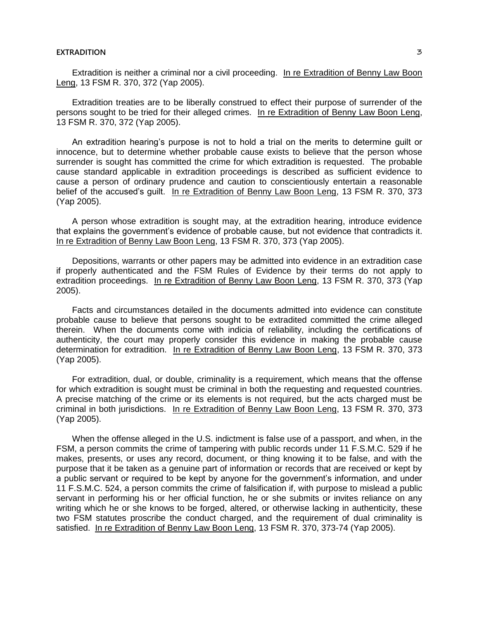## **EXTRADITION** 3

Extradition is neither a criminal nor a civil proceeding. In re Extradition of Benny Law Boon Leng, 13 FSM R. 370, 372 (Yap 2005).

Extradition treaties are to be liberally construed to effect their purpose of surrender of the persons sought to be tried for their alleged crimes. In re Extradition of Benny Law Boon Leng, 13 FSM R. 370, 372 (Yap 2005).

An extradition hearing's purpose is not to hold a trial on the merits to determine guilt or innocence, but to determine whether probable cause exists to believe that the person whose surrender is sought has committed the crime for which extradition is requested. The probable cause standard applicable in extradition proceedings is described as sufficient evidence to cause a person of ordinary prudence and caution to conscientiously entertain a reasonable belief of the accused's guilt. In re Extradition of Benny Law Boon Leng, 13 FSM R. 370, 373 (Yap 2005).

A person whose extradition is sought may, at the extradition hearing, introduce evidence that explains the government's evidence of probable cause, but not evidence that contradicts it. In re Extradition of Benny Law Boon Leng, 13 FSM R. 370, 373 (Yap 2005).

Depositions, warrants or other papers may be admitted into evidence in an extradition case if properly authenticated and the FSM Rules of Evidence by their terms do not apply to extradition proceedings. In re Extradition of Benny Law Boon Leng, 13 FSM R. 370, 373 (Yap 2005).

Facts and circumstances detailed in the documents admitted into evidence can constitute probable cause to believe that persons sought to be extradited committed the crime alleged therein. When the documents come with indicia of reliability, including the certifications of authenticity, the court may properly consider this evidence in making the probable cause determination for extradition. In re Extradition of Benny Law Boon Leng, 13 FSM R. 370, 373 (Yap 2005).

For extradition, dual, or double, criminality is a requirement, which means that the offense for which extradition is sought must be criminal in both the requesting and requested countries. A precise matching of the crime or its elements is not required, but the acts charged must be criminal in both jurisdictions. In re Extradition of Benny Law Boon Leng, 13 FSM R. 370, 373 (Yap 2005).

When the offense alleged in the U.S. indictment is false use of a passport, and when, in the FSM, a person commits the crime of tampering with public records under 11 F.S.M.C. 529 if he makes, presents, or uses any record, document, or thing knowing it to be false, and with the purpose that it be taken as a genuine part of information or records that are received or kept by a public servant or required to be kept by anyone for the government's information, and under 11 F.S.M.C. 524, a person commits the crime of falsification if, with purpose to mislead a public servant in performing his or her official function, he or she submits or invites reliance on any writing which he or she knows to be forged, altered, or otherwise lacking in authenticity, these two FSM statutes proscribe the conduct charged, and the requirement of dual criminality is satisfied. In re Extradition of Benny Law Boon Leng, 13 FSM R. 370, 373-74 (Yap 2005).